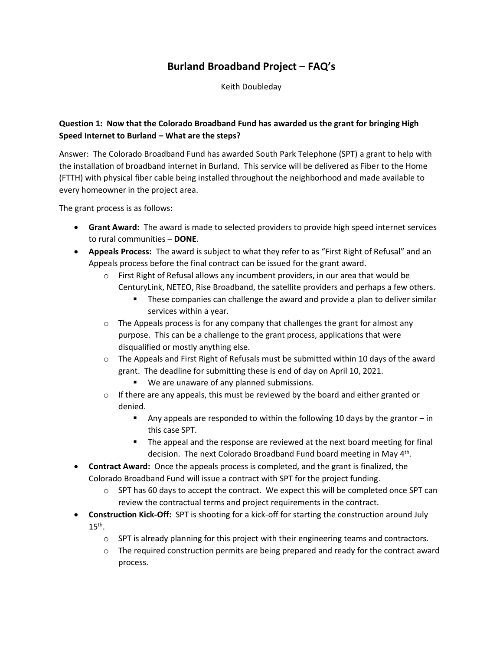## **Burland Broadband Project – FAQ's**

Keith Doubleday

## **Question 1: Now that the Colorado Broadband Fund has awarded us the grant for bringing High Speed Internet to Burland – What are the steps?**

Answer: The Colorado Broadband Fund has awarded South Park Telephone (SPT) a grant to help with the installation of broadband internet in Burland. This service will be delivered as Fiber to the Home (FTTH) with physical fiber cable being installed throughout the neighborhood and made available to every homeowner in the project area.

The grant process is as follows:

- **Grant Award:** The award is made to selected providers to provide high speed internet services to rural communities – **DONE**.
- **Appeals Process:** The award is subject to what they refer to as "First Right of Refusal" and an Appeals process before the final contract can be issued for the grant award.
	- o First Right of Refusal allows any incumbent providers, in our area that would be CenturyLink, NETEO, Rise Broadband, the satellite providers and perhaps a few others.
		- **•** These companies can challenge the award and provide a plan to deliver similar services within a year.
	- $\circ$  The Appeals process is for any company that challenges the grant for almost any purpose. This can be a challenge to the grant process, applications that were disqualified or mostly anything else.
	- $\circ$  The Appeals and First Right of Refusals must be submitted within 10 days of the award grant. The deadline for submitting these is end of day on April 10, 2021.
		- We are unaware of any planned submissions.
	- $\circ$  If there are any appeals, this must be reviewed by the board and either granted or denied.
		- **•** Any appeals are responded to within the following 10 days by the grantor  $-$  in this case SPT.
		- The appeal and the response are reviewed at the next board meeting for final decision. The next Colorado Broadband Fund board meeting in May 4<sup>th</sup>.
- **Contract Award:** Once the appeals process is completed, and the grant is finalized, the Colorado Broadband Fund will issue a contract with SPT for the project funding.
	- $\circ$  SPT has 60 days to accept the contract. We expect this will be completed once SPT can review the contractual terms and project requirements in the contract.
- **Construction Kick-Off:** SPT is shooting for a kick-off for starting the construction around July  $15<sup>th</sup>$ .
	- $\circ$  SPT is already planning for this project with their engineering teams and contractors.
	- $\circ$  The required construction permits are being prepared and ready for the contract award process.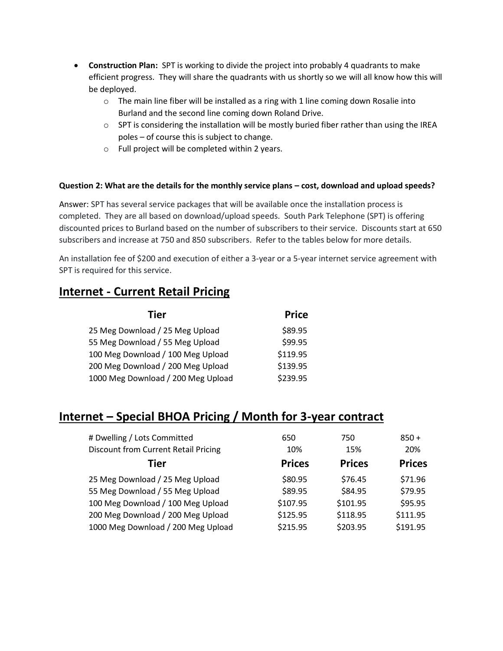- **Construction Plan:** SPT is working to divide the project into probably 4 quadrants to make efficient progress. They will share the quadrants with us shortly so we will all know how this will be deployed.
	- $\circ$  The main line fiber will be installed as a ring with 1 line coming down Rosalie into Burland and the second line coming down Roland Drive.
	- $\circ$  SPT is considering the installation will be mostly buried fiber rather than using the IREA poles – of course this is subject to change.
	- o Full project will be completed within 2 years.

## **Question 2: What are the details for the monthly service plans – cost, download and upload speeds?**

Answer: SPT has several service packages that will be available once the installation process is completed. They are all based on download/upload speeds. South Park Telephone (SPT) is offering discounted prices to Burland based on the number of subscribers to their service. Discounts start at 650 subscribers and increase at 750 and 850 subscribers. Refer to the tables below for more details.

An installation fee of \$200 and execution of either a 3-year or a 5-year internet service agreement with SPT is required for this service.

## **Internet - Current Retail Pricing**

| Tier                               | <b>Price</b> |
|------------------------------------|--------------|
| 25 Meg Download / 25 Meg Upload    | \$89.95      |
| 55 Meg Download / 55 Meg Upload    | \$99.95      |
| 100 Meg Download / 100 Meg Upload  | \$119.95     |
| 200 Meg Download / 200 Meg Upload  | \$139.95     |
| 1000 Meg Download / 200 Meg Upload | \$239.95     |

# **Internet – Special BHOA Pricing / Month for 3-year contract**

| # Dwelling / Lots Committed<br><b>Discount from Current Retail Pricing</b> | 650<br>10%    | 750<br>15%    | $850 +$<br>20% |
|----------------------------------------------------------------------------|---------------|---------------|----------------|
| Tier                                                                       | <b>Prices</b> | <b>Prices</b> | <b>Prices</b>  |
| 25 Meg Download / 25 Meg Upload                                            | \$80.95       | \$76.45       | \$71.96        |
| 55 Meg Download / 55 Meg Upload                                            | \$89.95       | \$84.95       | \$79.95        |
| 100 Meg Download / 100 Meg Upload                                          | \$107.95      | \$101.95      | \$95.95        |
| 200 Meg Download / 200 Meg Upload                                          | \$125.95      | \$118.95      | \$111.95       |
| 1000 Meg Download / 200 Meg Upload                                         | \$215.95      | \$203.95      | \$191.95       |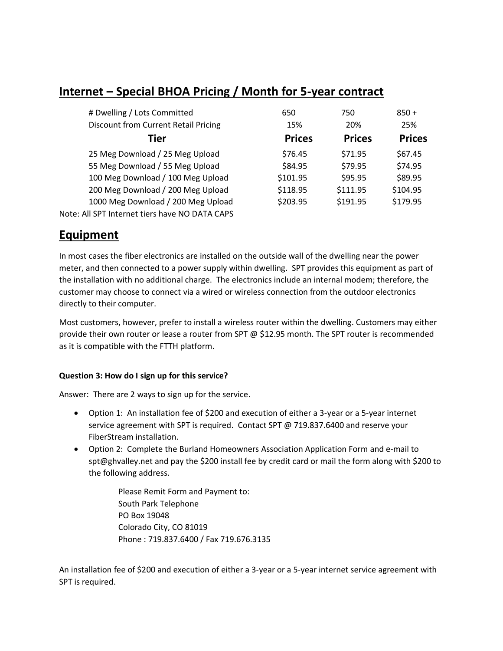# **Internet – Special BHOA Pricing / Month for 5-year contract**

| # Dwelling / Lots Committed                    | 650           | 750           | $850 +$       |
|------------------------------------------------|---------------|---------------|---------------|
| <b>Discount from Current Retail Pricing</b>    | 15%           | 20%           | 25%           |
| Tier                                           | <b>Prices</b> | <b>Prices</b> | <b>Prices</b> |
| 25 Meg Download / 25 Meg Upload                | \$76.45       | \$71.95       | \$67.45       |
| 55 Meg Download / 55 Meg Upload                | \$84.95       | \$79.95       | \$74.95       |
| 100 Meg Download / 100 Meg Upload              | \$101.95      | \$95.95       | \$89.95       |
| 200 Meg Download / 200 Meg Upload              | \$118.95      | \$111.95      | \$104.95      |
| 1000 Meg Download / 200 Meg Upload             | \$203.95      | \$191.95      | \$179.95      |
| Note: All SPT Internet tiers have NO DATA CAPS |               |               |               |

## **Equipment**

In most cases the fiber electronics are installed on the outside wall of the dwelling near the power meter, and then connected to a power supply within dwelling. SPT provides this equipment as part of the installation with no additional charge. The electronics include an internal modem; therefore, the customer may choose to connect via a wired or wireless connection from the outdoor electronics directly to their computer.

Most customers, however, prefer to install a wireless router within the dwelling. Customers may either provide their own router or lease a router from SPT @ \$12.95 month. The SPT router is recommended as it is compatible with the FTTH platform.

## **Question 3: How do I sign up for this service?**

Answer: There are 2 ways to sign up for the service.

- Option 1: An installation fee of \$200 and execution of either a 3-year or a 5-year internet service agreement with SPT is required. Contact SPT @ 719.837.6400 and reserve your FiberStream installation.
- Option 2: Complete the Burland Homeowners Association Application Form and e-mail to spt@ghvalley.net and pay the \$200 install fee by credit card or mail the form along with \$200 to the following address.

Please Remit Form and Payment to: South Park Telephone PO Box 19048 Colorado City, CO 81019 Phone : 719.837.6400 / Fax 719.676.3135

An installation fee of \$200 and execution of either a 3-year or a 5-year internet service agreement with SPT is required.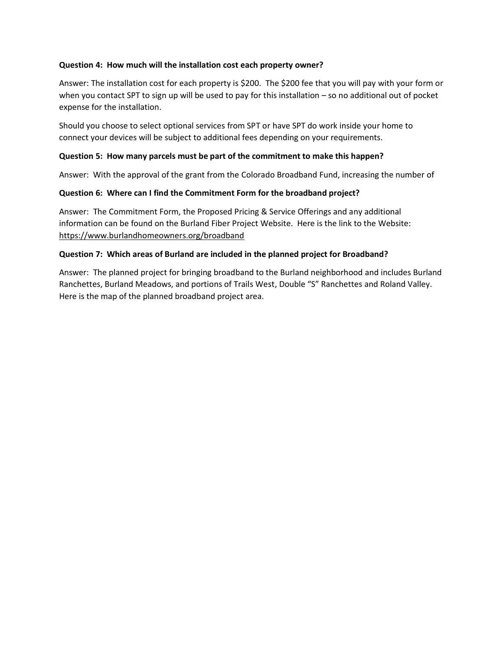#### **Question 4: How much will the installation cost each property owner?**

Answer: The installation cost for each property is \$200. The \$200 fee that you will pay with your form or when you contact SPT to sign up will be used to pay for this installation – so no additional out of pocket expense for the installation.

Should you choose to select optional services from SPT or have SPT do work inside your home to connect your devices will be subject to additional fees depending on your requirements.

## **Question 5: How many parcels must be part of the commitment to make this happen?**

Answer: With the approval of the grant from the Colorado Broadband Fund, increasing the number of

## **Question 6: Where can I find the Commitment Form for the broadband project?**

Answer: The Commitment Form, the Proposed Pricing & Service Offerings and any additional information can be found on the Burland Fiber Project Website. Here is the link to the Website: [https://www.burlandhomeowners.org/broadband](https://www.burlandfiber.com/)

## **Question 7: Which areas of Burland are included in the planned project for Broadband?**

Answer: The planned project for bringing broadband to the Burland neighborhood and includes Burland Ranchettes, Burland Meadows, and portions of Trails West, Double "S" Ranchettes and Roland Valley. Here is the map of the planned broadband project area.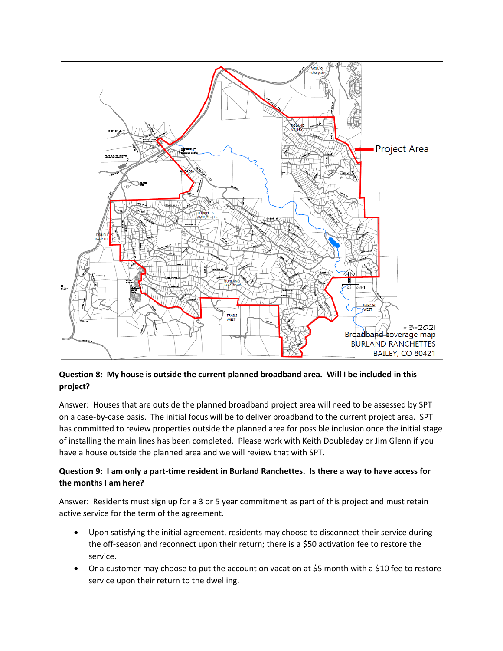

## **Question 8: My house is outside the current planned broadband area. Will I be included in this project?**

Answer: Houses that are outside the planned broadband project area will need to be assessed by SPT on a case-by-case basis. The initial focus will be to deliver broadband to the current project area. SPT has committed to review properties outside the planned area for possible inclusion once the initial stage of installing the main lines has been completed. Please work with Keith Doubleday or Jim Glenn if you have a house outside the planned area and we will review that with SPT.

## **Question 9: I am only a part-time resident in Burland Ranchettes. Is there a way to have access for the months I am here?**

Answer: Residents must sign up for a 3 or 5 year commitment as part of this project and must retain active service for the term of the agreement.

- Upon satisfying the initial agreement, residents may choose to disconnect their service during the off-season and reconnect upon their return; there is a \$50 activation fee to restore the service.
- Or a customer may choose to put the account on vacation at \$5 month with a \$10 fee to restore service upon their return to the dwelling.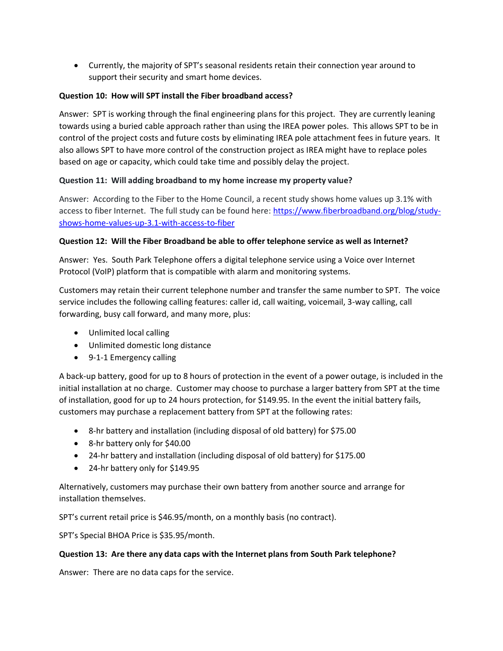• Currently, the majority of SPT's seasonal residents retain their connection year around to support their security and smart home devices.

## **Question 10: How will SPT install the Fiber broadband access?**

Answer: SPT is working through the final engineering plans for this project. They are currently leaning towards using a buried cable approach rather than using the IREA power poles. This allows SPT to be in control of the project costs and future costs by eliminating IREA pole attachment fees in future years. It also allows SPT to have more control of the construction project as IREA might have to replace poles based on age or capacity, which could take time and possibly delay the project.

## **Question 11: Will adding broadband to my home increase my property value?**

Answer: According to the Fiber to the Home Council, a recent study shows home values up 3.1% with access to fiber Internet. The full study can be found here: [https://www.fiberbroadband.org/blog/study](https://www.fiberbroadband.org/blog/study-shows-home-values-up-3.1-with-access-to-fiber)[shows-home-values-up-3.1-with-access-to-fiber](https://www.fiberbroadband.org/blog/study-shows-home-values-up-3.1-with-access-to-fiber)

## **Question 12: Will the Fiber Broadband be able to offer telephone service as well as Internet?**

Answer: Yes. South Park Telephone offers a digital telephone service using a Voice over Internet Protocol (VoIP) platform that is compatible with alarm and monitoring systems.

Customers may retain their current telephone number and transfer the same number to SPT. The voice service includes the following calling features: caller id, call waiting, voicemail, 3-way calling, call forwarding, busy call forward, and many more, plus:

- Unlimited local calling
- Unlimited domestic long distance
- 9-1-1 Emergency calling

A back-up battery, good for up to 8 hours of protection in the event of a power outage, is included in the initial installation at no charge. Customer may choose to purchase a larger battery from SPT at the time of installation, good for up to 24 hours protection, for \$149.95. In the event the initial battery fails, customers may purchase a replacement battery from SPT at the following rates:

- 8-hr battery and installation (including disposal of old battery) for \$75.00
- 8-hr battery only for \$40.00
- 24-hr battery and installation (including disposal of old battery) for \$175.00
- 24-hr battery only for \$149.95

Alternatively, customers may purchase their own battery from another source and arrange for installation themselves.

SPT's current retail price is \$46.95/month, on a monthly basis (no contract).

SPT's Special BHOA Price is \$35.95/month.

#### **Question 13: Are there any data caps with the Internet plans from South Park telephone?**

Answer: There are no data caps for the service.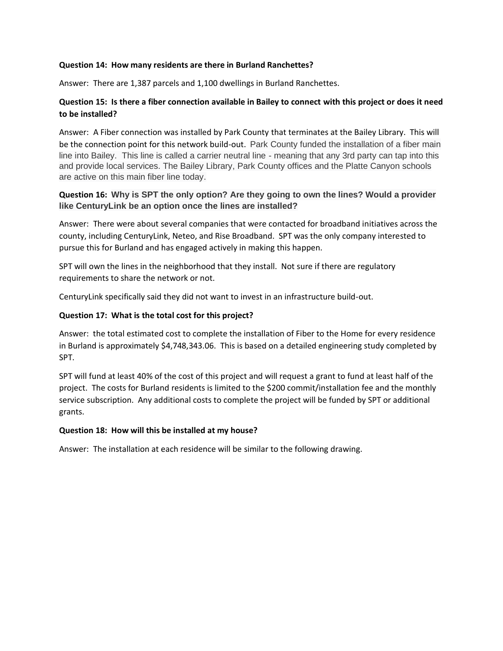#### **Question 14: How many residents are there in Burland Ranchettes?**

Answer: There are 1,387 parcels and 1,100 dwellings in Burland Ranchettes.

## **Question 15: Is there a fiber connection available in Bailey to connect with this project or does it need to be installed?**

Answer: A Fiber connection was installed by Park County that terminates at the Bailey Library. This will be the connection point for this network build-out. Park County funded the installation of a fiber main line into Bailey. This line is called a carrier neutral line - meaning that any 3rd party can tap into this and provide local services. The Bailey Library, Park County offices and the Platte Canyon schools are active on this main fiber line today.

## **Question 16: Why is SPT the only option? Are they going to own the lines? Would a provider like CenturyLink be an option once the lines are installed?**

Answer: There were about several companies that were contacted for broadband initiatives across the county, including CenturyLink, Neteo, and Rise Broadband. SPT was the only company interested to pursue this for Burland and has engaged actively in making this happen.

SPT will own the lines in the neighborhood that they install. Not sure if there are regulatory requirements to share the network or not.

CenturyLink specifically said they did not want to invest in an infrastructure build-out.

#### **Question 17: What is the total cost for this project?**

Answer: the total estimated cost to complete the installation of Fiber to the Home for every residence in Burland is approximately \$4,748,343.06. This is based on a detailed engineering study completed by SPT.

SPT will fund at least 40% of the cost of this project and will request a grant to fund at least half of the project. The costs for Burland residents is limited to the \$200 commit/installation fee and the monthly service subscription. Any additional costs to complete the project will be funded by SPT or additional grants.

#### **Question 18: How will this be installed at my house?**

Answer: The installation at each residence will be similar to the following drawing.